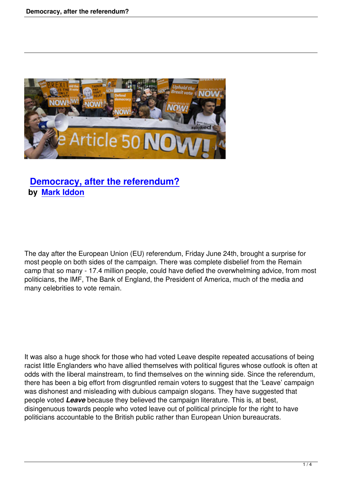

## **Democracy, after the referendum? by Mark Iddon**

The day after the European Union (EU) referendum, Friday June 24th, brought a surprise for most people on both sides of the campaign. There was complete disbelief from the Remain camp that so many - 17.4 million people, could have defied the overwhelming advice, from most politicians, the IMF, The Bank of England, the President of America, much of the media and many celebrities to vote remain.

It was also a huge shock for those who had voted Leave despite repeated accusations of being racist little Englanders who have allied themselves with political figures whose outlook is often at odds with the liberal mainstream, to find themselves on the winning side. Since the referendum, there has been a big effort from disgruntled remain voters to suggest that the 'Leave' campaign was dishonest and misleading with dubious campaign slogans. They have suggested that people voted *Leave* because they believed the campaign literature. This is, at best, disingenuous towards people who voted leave out of political principle for the right to have politicians accountable to the British public rather than European Union bureaucrats.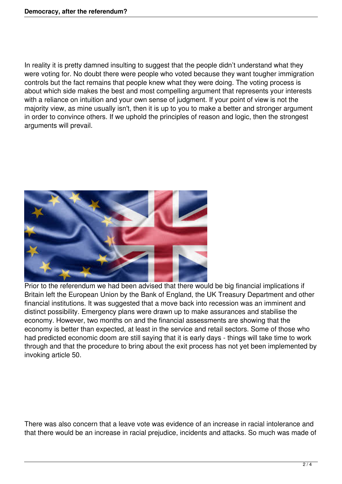In reality it is pretty damned insulting to suggest that the people didn't understand what they were voting for. No doubt there were people who voted because they want tougher immigration controls but the fact remains that people knew what they were doing. The voting process is about which side makes the best and most compelling argument that represents your interests with a reliance on intuition and your own sense of judgment. If your point of view is not the majority view, as mine usually isn't, then it is up to you to make a better and stronger argument in order to convince others. If we uphold the principles of reason and logic, then the strongest arguments will prevail.



Prior to the referendum we had been advised that there would be big financial implications if Britain left the European Union by the Bank of England, the UK Treasury Department and other financial institutions. It was suggested that a move back into recession was an imminent and distinct possibility. Emergency plans were drawn up to make assurances and stabilise the economy. However, two months on and the financial assessments are showing that the economy is better than expected, at least in the service and retail sectors. Some of those who had predicted economic doom are still saying that it is early days - things will take time to work through and that the procedure to bring about the exit process has not yet been implemented by invoking article 50.

There was also concern that a leave vote was evidence of an increase in racial intolerance and that there would be an increase in racial prejudice, incidents and attacks. So much was made of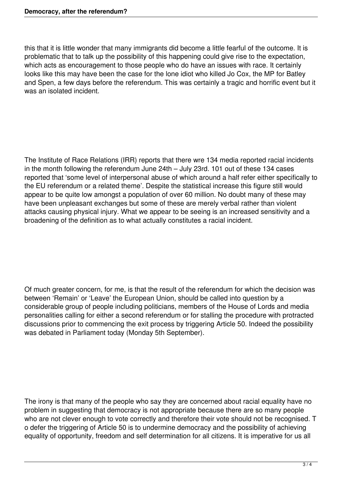this that it is little wonder that many immigrants did become a little fearful of the outcome. It is problematic that to talk up the possibility of this happening could give rise to the expectation, which acts as encouragement to those people who do have an issues with race. It certainly looks like this may have been the case for the lone idiot who killed Jo Cox, the MP for Batley and Spen, a few days before the referendum. This was certainly a tragic and horrific event but it was an isolated incident.

The Institute of Race Relations (IRR) reports that there wre 134 media reported racial incidents in the month following the referendum June 24th – July 23rd. 101 out of these 134 cases reported that 'some level of interpersonal abuse of which around a half refer either specifically to the EU referendum or a related theme'. Despite the statistical increase this figure still would appear to be quite low amongst a population of over 60 million. No doubt many of these may have been unpleasant exchanges but some of these are merely verbal rather than violent attacks causing physical injury. What we appear to be seeing is an increased sensitivity and a broadening of the definition as to what actually constitutes a racial incident.

Of much greater concern, for me, is that the result of the referendum for which the decision was between 'Remain' or 'Leave' the European Union, should be called into question by a considerable group of people including politicians, members of the House of Lords and media personalities calling for either a second referendum or for stalling the procedure with protracted discussions prior to commencing the exit process by triggering Article 50. Indeed the possibility was debated in Parliament today (Monday 5th September).

The irony is that many of the people who say they are concerned about racial equality have no problem in suggesting that democracy is not appropriate because there are so many people who are not clever enough to vote correctly and therefore their vote should not be recognised. T o defer the triggering of Article 50 is to undermine democracy and the possibility of achieving equality of opportunity, freedom and self determination for all citizens. It is imperative for us all